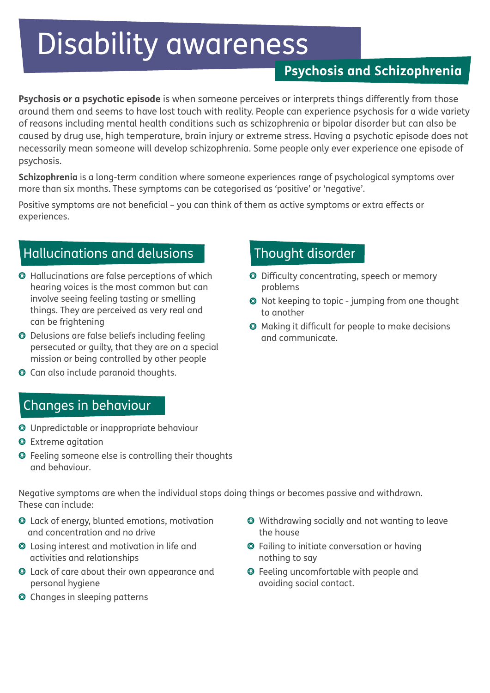# Disability awareness

## **Psychosis and Schizophrenia**

**Psychosis or a psychotic episode** is when someone perceives or interprets things differently from those around them and seems to have lost touch with reality. People can experience psychosis for a wide variety of reasons including mental health conditions such as schizophrenia or bipolar disorder but can also be caused by drug use, high temperature, brain injury or extreme stress. Having a psychotic episode does not necessarily mean someone will develop schizophrenia. Some people only ever experience one episode of psychosis.

**Schizophrenia** is a long-term condition where someone experiences range of psychological symptoms over more than six months. These symptoms can be categorised as 'positive' or 'negative'.

Positive symptoms are not beneficial – you can think of them as active symptoms or extra effects or experiences.

## Hallucinations and delusions

- Hallucinations are false perceptions of which hearing voices is the most common but can involve seeing feeling tasting or smelling things. They are perceived as very real and can be frightening
- Delusions are false beliefs including feeling persecuted or guilty, that they are on a special mission or being controlled by other people
- Can also include paranoid thoughts.

## Changes in behaviour

- Unpredictable or inappropriate behaviour
- Extreme agitation
- Feeling someone else is controlling their thoughts and behaviour.

Negative symptoms are when the individual stops doing things or becomes passive and withdrawn. These can include:

- Lack of energy, blunted emotions, motivation and concentration and no drive
- Losing interest and motivation in life and activities and relationships
- Lack of care about their own appearance and personal hygiene
- Changes in sleeping patterns
- Withdrawing socially and not wanting to leave the house
- Failing to initiate conversation or having nothing to say
- Feeling uncomfortable with people and avoiding social contact.

## Thought disorder

- Difficulty concentrating, speech or memory problems
- Not keeping to topic jumping from one thought to another
- Making it difficult for people to make decisions and communicate.